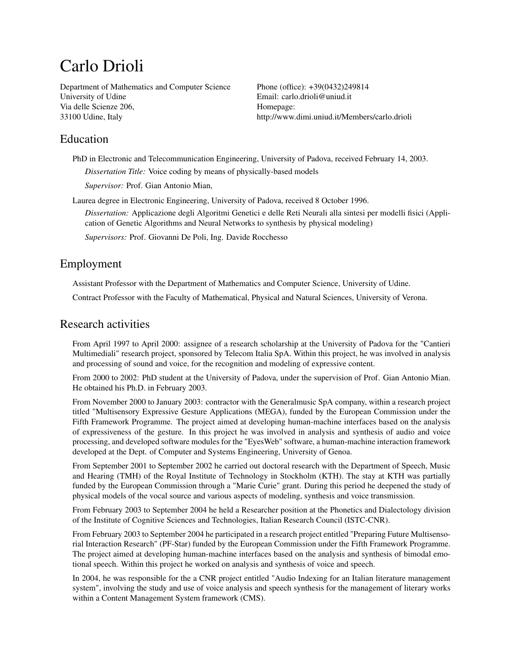# Carlo Drioli

Department of Mathematics and Computer Science University of Udine Via delle Scienze 206, 33100 Udine, Italy

Phone (office): +39(0432)249814 Email: [carlo.drioli@uniud.it](mailto:carlo.drioli@uniud.it) Homepage: [http://www.dimi.uniud.it/Members/carlo.drioli](http:/http://www.dimi.uniud.it/Members/carlo.drioli)

# Education

PhD in Electronic and Telecommunication Engineering, University of Padova, received February 14, 2003. *Dissertation Title:* Voice coding by means of physically-based models

*Supervisor:* Prof. Gian Antonio Mian,

Laurea degree in Electronic Engineering, University of Padova, received 8 October 1996.

*Dissertation:* Applicazione degli Algoritmi Genetici e delle Reti Neurali alla sintesi per modelli fisici (Application of Genetic Algorithms and Neural Networks to synthesis by physical modeling)

*Supervisors:* Prof. Giovanni De Poli, Ing. Davide Rocchesso

# Employment

Assistant Professor with the Department of Mathematics and Computer Science, University of Udine.

Contract Professor with the Faculty of Mathematical, Physical and Natural Sciences, University of Verona.

# Research activities

From April 1997 to April 2000: assignee of a research scholarship at the University of Padova for the "Cantieri Multimediali" research project, sponsored by Telecom Italia SpA. Within this project, he was involved in analysis and processing of sound and voice, for the recognition and modeling of expressive content.

From 2000 to 2002: PhD student at the University of Padova, under the supervision of Prof. Gian Antonio Mian. He obtained his Ph.D. in February 2003.

From November 2000 to January 2003: contractor with the Generalmusic SpA company, within a research project titled "Multisensory Expressive Gesture Applications (MEGA), funded by the European Commission under the Fifth Framework Programme. The project aimed at developing human-machine interfaces based on the analysis of expressiveness of the gesture. In this project he was involved in analysis and synthesis of audio and voice processing, and developed software modules for the "EyesWeb" software, a human-machine interaction framework developed at the Dept. of Computer and Systems Engineering, University of Genoa.

From September 2001 to September 2002 he carried out doctoral research with the Department of Speech, Music and Hearing (TMH) of the Royal Institute of Technology in Stockholm (KTH). The stay at KTH was partially funded by the European Commission through a "Marie Curie" grant. During this period he deepened the study of physical models of the vocal source and various aspects of modeling, synthesis and voice transmission.

From February 2003 to September 2004 he held a Researcher position at the Phonetics and Dialectology division of the Institute of Cognitive Sciences and Technologies, Italian Research Council (ISTC-CNR).

From February 2003 to September 2004 he participated in a research project entitled "Preparing Future Multisensorial Interaction Research" (PF-Star) funded by the European Commission under the Fifth Framework Programme. The project aimed at developing human-machine interfaces based on the analysis and synthesis of bimodal emotional speech. Within this project he worked on analysis and synthesis of voice and speech.

In 2004, he was responsible for the a CNR project entitled "Audio Indexing for an Italian literature management system", involving the study and use of voice analysis and speech synthesis for the management of literary works within a Content Management System framework (CMS).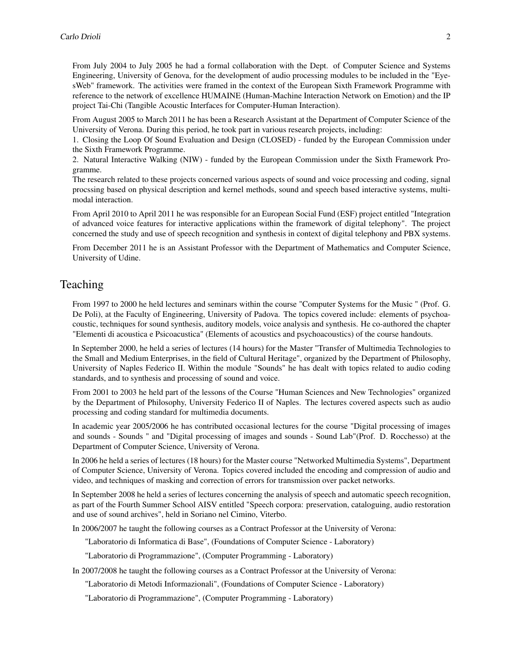From July 2004 to July 2005 he had a formal collaboration with the Dept. of Computer Science and Systems Engineering, University of Genova, for the development of audio processing modules to be included in the "EyesWeb" framework. The activities were framed in the context of the European Sixth Framework Programme with reference to the network of excellence HUMAINE (Human-Machine Interaction Network on Emotion) and the IP project Tai-Chi (Tangible Acoustic Interfaces for Computer-Human Interaction).

From August 2005 to March 2011 he has been a Research Assistant at the Department of Computer Science of the University of Verona. During this period, he took part in various research projects, including:

1. Closing the Loop Of Sound Evaluation and Design (CLOSED) - funded by the European Commission under the Sixth Framework Programme.

2. Natural Interactive Walking (NIW) - funded by the European Commission under the Sixth Framework Programme.

The research related to these projects concerned various aspects of sound and voice processing and coding, signal procssing based on physical description and kernel methods, sound and speech based interactive systems, multimodal interaction.

From April 2010 to April 2011 he was responsible for an European Social Fund (ESF) project entitled "Integration of advanced voice features for interactive applications within the framework of digital telephony". The project concerned the study and use of speech recognition and synthesis in context of digital telephony and PBX systems.

From December 2011 he is an Assistant Professor with the Department of Mathematics and Computer Science, University of Udine.

## Teaching

From 1997 to 2000 he held lectures and seminars within the course "Computer Systems for the Music " (Prof. G. De Poli), at the Faculty of Engineering, University of Padova. The topics covered include: elements of psychoacoustic, techniques for sound synthesis, auditory models, voice analysis and synthesis. He co-authored the chapter "Elementi di acoustica e Psicoacustica" (Elements of acoustics and psychoacoustics) of the course handouts.

In September 2000, he held a series of lectures (14 hours) for the Master "Transfer of Multimedia Technologies to the Small and Medium Enterprises, in the field of Cultural Heritage", organized by the Department of Philosophy, University of Naples Federico II. Within the module "Sounds" he has dealt with topics related to audio coding standards, and to synthesis and processing of sound and voice.

From 2001 to 2003 he held part of the lessons of the Course "Human Sciences and New Technologies" organized by the Department of Philosophy, University Federico II of Naples. The lectures covered aspects such as audio processing and coding standard for multimedia documents.

In academic year 2005/2006 he has contributed occasional lectures for the course "Digital processing of images and sounds - Sounds " and "Digital processing of images and sounds - Sound Lab"(Prof. D. Rocchesso) at the Department of Computer Science, University of Verona.

In 2006 he held a series of lectures (18 hours) for the Master course "Networked Multimedia Systems", Department of Computer Science, University of Verona. Topics covered included the encoding and compression of audio and video, and techniques of masking and correction of errors for transmission over packet networks.

In September 2008 he held a series of lectures concerning the analysis of speech and automatic speech recognition, as part of the Fourth Summer School AISV entitled "Speech corpora: preservation, cataloguing, audio restoration and use of sound archives", held in Soriano nel Cimino, Viterbo.

In 2006/2007 he taught the following courses as a Contract Professor at the University of Verona:

"Laboratorio di Informatica di Base", (Foundations of Computer Science - Laboratory)

"Laboratorio di Programmazione", (Computer Programming - Laboratory)

In 2007/2008 he taught the following courses as a Contract Professor at the University of Verona:

"Laboratorio di Metodi Informazionali", (Foundations of Computer Science - Laboratory)

"Laboratorio di Programmazione", (Computer Programming - Laboratory)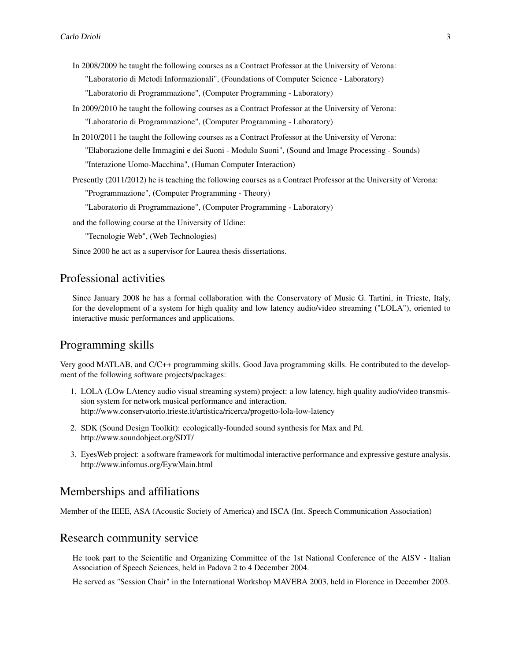In 2008/2009 he taught the following courses as a Contract Professor at the University of Verona:

"Laboratorio di Metodi Informazionali", (Foundations of Computer Science - Laboratory)

"Laboratorio di Programmazione", (Computer Programming - Laboratory)

- In 2009/2010 he taught the following courses as a Contract Professor at the University of Verona: "Laboratorio di Programmazione", (Computer Programming - Laboratory)
- In 2010/2011 he taught the following courses as a Contract Professor at the University of Verona: "Elaborazione delle Immagini e dei Suoni - Modulo Suoni", (Sound and Image Processing - Sounds) "Interazione Uomo-Macchina", (Human Computer Interaction)
- Presently (2011/2012) he is teaching the following courses as a Contract Professor at the University of Verona: "Programmazione", (Computer Programming - Theory)

"Laboratorio di Programmazione", (Computer Programming - Laboratory)

and the following course at the University of Udine:

"Tecnologie Web", (Web Technologies)

Since 2000 he act as a supervisor for Laurea thesis dissertations.

## Professional activities

Since January 2008 he has a formal collaboration with the Conservatory of Music G. Tartini, in Trieste, Italy, for the development of a system for high quality and low latency audio/video streaming ("LOLA"), oriented to interactive music performances and applications.

## Programming skills

Very good MATLAB, and C/C++ programming skills. Good Java programming skills. He contributed to the development of the following software projects/packages:

- 1. LOLA (LOw LAtency audio visual streaming system) project: a low latency, high quality audio/video transmission system for network musical performance and interaction. http://www.conservatorio.trieste.it/artistica/ricerca/progetto-lola-low-latency
- 2. SDK (Sound Design Toolkit): ecologically-founded sound synthesis for Max and Pd. http://www.soundobject.org/SDT/
- 3. EyesWeb project: a software framework for multimodal interactive performance and expressive gesture analysis. http://www.infomus.org/EywMain.html

#### Memberships and affiliations

Member of the IEEE, ASA (Acoustic Society of America) and ISCA (Int. Speech Communication Association)

## Research community service

He took part to the Scientific and Organizing Committee of the 1st National Conference of the AISV - Italian Association of Speech Sciences, held in Padova 2 to 4 December 2004.

He served as "Session Chair" in the International Workshop MAVEBA 2003, held in Florence in December 2003.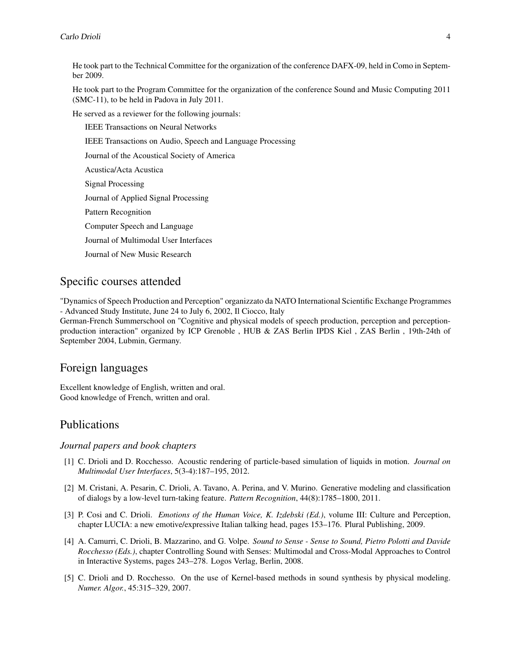He took part to the Technical Committee for the organization of the conference DAFX-09, held in Como in September 2009.

He took part to the Program Committee for the organization of the conference Sound and Music Computing 2011 (SMC-11), to be held in Padova in July 2011.

He served as a reviewer for the following journals:

IEEE Transactions on Neural Networks

IEEE Transactions on Audio, Speech and Language Processing

Journal of the Acoustical Society of America

Acustica/Acta Acustica

Signal Processing

Journal of Applied Signal Processing

Pattern Recognition

Computer Speech and Language

Journal of Multimodal User Interfaces

Journal of New Music Research

## Specific courses attended

"Dynamics of Speech Production and Perception" organizzato da NATO International Scientific Exchange Programmes - Advanced Study Institute, June 24 to July 6, 2002, Il Ciocco, Italy

German-French Summerschool on "Cognitive and physical models of speech production, perception and perceptionproduction interaction" organized by ICP Grenoble , HUB & ZAS Berlin IPDS Kiel , ZAS Berlin , 19th-24th of September 2004, Lubmin, Germany.

# Foreign languages

Excellent knowledge of English, written and oral. Good knowledge of French, written and oral.

## Publications

#### *Journal papers and book chapters*

- [1] C. Drioli and D. Rocchesso. Acoustic rendering of particle-based simulation of liquids in motion. *Journal on Multimodal User Interfaces*, 5(3-4):187–195, 2012.
- [2] M. Cristani, A. Pesarin, C. Drioli, A. Tavano, A. Perina, and V. Murino. Generative modeling and classification of dialogs by a low-level turn-taking feature. *Pattern Recognition*, 44(8):1785–1800, 2011.
- [3] P. Cosi and C. Drioli. *Emotions of the Human Voice, K. Izdebski (Ed.)*, volume III: Culture and Perception, chapter LUCIA: a new emotive/expressive Italian talking head, pages 153–176. Plural Publishing, 2009.
- [4] A. Camurri, C. Drioli, B. Mazzarino, and G. Volpe. *Sound to Sense Sense to Sound, Pietro Polotti and Davide Rocchesso (Eds.)*, chapter Controlling Sound with Senses: Multimodal and Cross-Modal Approaches to Control in Interactive Systems, pages 243–278. Logos Verlag, Berlin, 2008.
- [5] C. Drioli and D. Rocchesso. On the use of Kernel-based methods in sound synthesis by physical modeling. *Numer. Algor.*, 45:315–329, 2007.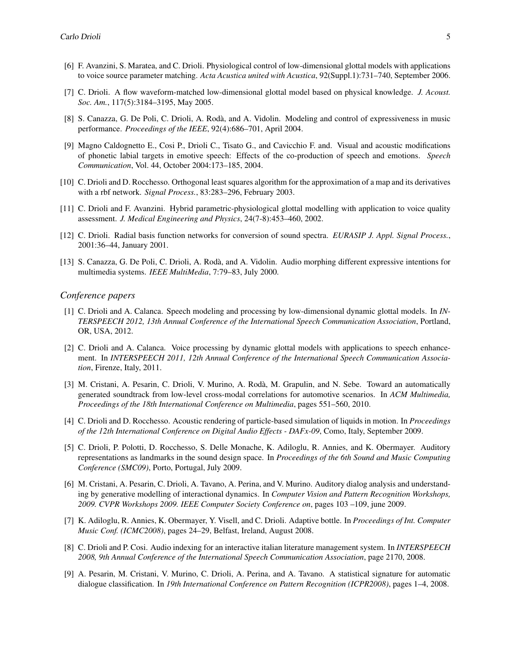- [6] F. Avanzini, S. Maratea, and C. Drioli. Physiological control of low-dimensional glottal models with applications to voice source parameter matching. *Acta Acustica united with Acustica*, 92(Suppl.1):731–740, September 2006.
- [7] C. Drioli. A flow waveform-matched low-dimensional glottal model based on physical knowledge. *J. Acoust. Soc. Am.*, 117(5):3184–3195, May 2005.
- [8] S. Canazza, G. De Poli, C. Drioli, A. Rodà, and A. Vidolin. Modeling and control of expressiveness in music performance. *Proceedings of the IEEE*, 92(4):686–701, April 2004.
- [9] Magno Caldognetto E., Cosi P., Drioli C., Tisato G., and Cavicchio F. and. Visual and acoustic modifications of phonetic labial targets in emotive speech: Effects of the co-production of speech and emotions. *Speech Communication*, Vol. 44, October 2004:173–185, 2004.
- [10] C. Drioli and D. Rocchesso. Orthogonal least squares algorithm for the approximation of a map and its derivatives with a rbf network. *Signal Process.*, 83:283–296, February 2003.
- [11] C. Drioli and F. Avanzini. Hybrid parametric-physiological glottal modelling with application to voice quality assessment. *J. Medical Engineering and Physics*, 24(7-8):453–460, 2002.
- [12] C. Drioli. Radial basis function networks for conversion of sound spectra. *EURASIP J. Appl. Signal Process.*, 2001:36–44, January 2001.
- [13] S. Canazza, G. De Poli, C. Drioli, A. Rodà, and A. Vidolin. Audio morphing different expressive intentions for multimedia systems. *IEEE MultiMedia*, 7:79–83, July 2000.

#### *Conference papers*

- [1] C. Drioli and A. Calanca. Speech modeling and processing by low-dimensional dynamic glottal models. In *IN-TERSPEECH 2012, 13th Annual Conference of the International Speech Communication Association*, Portland, OR, USA, 2012.
- [2] C. Drioli and A. Calanca. Voice processing by dynamic glottal models with applications to speech enhancement. In *INTERSPEECH 2011, 12th Annual Conference of the International Speech Communication Association*, Firenze, Italy, 2011.
- [3] M. Cristani, A. Pesarin, C. Drioli, V. Murino, A. Rodà, M. Grapulin, and N. Sebe. Toward an automatically generated soundtrack from low-level cross-modal correlations for automotive scenarios. In *ACM Multimedia, Proceedings of the 18th International Conference on Multimedia*, pages 551–560, 2010.
- [4] C. Drioli and D. Rocchesso. Acoustic rendering of particle-based simulation of liquids in motion. In *Proceedings of the 12th International Conference on Digital Audio Effects - DAFx-09*, Como, Italy, September 2009.
- [5] C. Drioli, P. Polotti, D. Rocchesso, S. Delle Monache, K. Adiloglu, R. Annies, and K. Obermayer. Auditory representations as landmarks in the sound design space. In *Proceedings of the 6th Sound and Music Computing Conference (SMC09)*, Porto, Portugal, July 2009.
- [6] M. Cristani, A. Pesarin, C. Drioli, A. Tavano, A. Perina, and V. Murino. Auditory dialog analysis and understanding by generative modelling of interactional dynamics. In *Computer Vision and Pattern Recognition Workshops, 2009. CVPR Workshops 2009. IEEE Computer Society Conference on*, pages 103 –109, june 2009.
- [7] K. Adiloglu, R. Annies, K. Obermayer, Y. Visell, and C. Drioli. Adaptive bottle. In *Proceedings of Int. Computer Music Conf. (ICMC2008)*, pages 24–29, Belfast, Ireland, August 2008.
- [8] C. Drioli and P. Cosi. Audio indexing for an interactive italian literature management system. In *INTERSPEECH 2008, 9th Annual Conference of the International Speech Communication Association*, page 2170, 2008.
- [9] A. Pesarin, M. Cristani, V. Murino, C. Drioli, A. Perina, and A. Tavano. A statistical signature for automatic dialogue classification. In *19th International Conference on Pattern Recognition (ICPR2008)*, pages 1–4, 2008.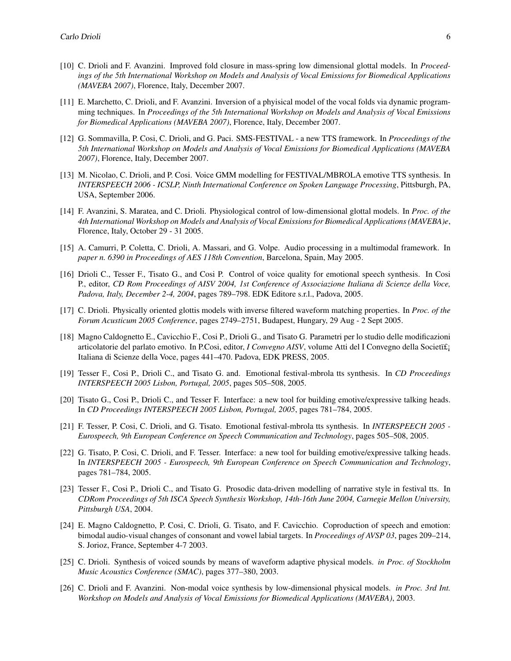- [10] C. Drioli and F. Avanzini. Improved fold closure in mass-spring low dimensional glottal models. In *Proceedings of the 5th International Workshop on Models and Analysis of Vocal Emissions for Biomedical Applications (MAVEBA 2007)*, Florence, Italy, December 2007.
- [11] E. Marchetto, C. Drioli, and F. Avanzini. Inversion of a phyisical model of the vocal folds via dynamic programming techniques. In *Proceedings of the 5th International Workshop on Models and Analysis of Vocal Emissions for Biomedical Applications (MAVEBA 2007)*, Florence, Italy, December 2007.
- [12] G. Sommavilla, P. Cosi, C. Drioli, and G. Paci. SMS-FESTIVAL a new TTS framework. In *Proceedings of the 5th International Workshop on Models and Analysis of Vocal Emissions for Biomedical Applications (MAVEBA 2007)*, Florence, Italy, December 2007.
- [13] M. Nicolao, C. Drioli, and P. Cosi. Voice GMM modelling for FESTIVAL/MBROLA emotive TTS synthesis. In *INTERSPEECH 2006 - ICSLP, Ninth International Conference on Spoken Language Processing*, Pittsburgh, PA, USA, September 2006.
- [14] F. Avanzini, S. Maratea, and C. Drioli. Physiological control of low-dimensional glottal models. In *Proc. of the 4th International Workshop on Models and Analysis of Vocal Emissions for Biomedical Applications (MAVEBA)e*, Florence, Italy, October 29 - 31 2005.
- [15] A. Camurri, P. Coletta, C. Drioli, A. Massari, and G. Volpe. Audio processing in a multimodal framework. In *paper n. 6390 in Proceedings of AES 118th Convention*, Barcelona, Spain, May 2005.
- [16] Drioli C., Tesser F., Tisato G., and Cosi P. Control of voice quality for emotional speech synthesis. In Cosi P., editor, *CD Rom Proceedings of AISV 2004, 1st Conference of Associazione Italiana di Scienze della Voce, Padova, Italy, December 2-4, 2004*, pages 789–798. EDK Editore s.r.l., Padova, 2005.
- [17] C. Drioli. Physically oriented glottis models with inverse filtered waveform matching properties. In *Proc. of the Forum Acusticum 2005 Conference*, pages 2749–2751, Budapest, Hungary, 29 Aug - 2 Sept 2005.
- [18] Magno Caldognetto E., Cavicchio F., Cosi P., Drioli G., and Tisato G. Parametri per lo studio delle modificazioni articolatorie del parlato emotivo. In P.Cosi, editor, *I Convegno AISV*, volume Atti del I Convegno della Societï£ Italiana di Scienze della Voce, pages 441–470. Padova, EDK PRESS, 2005.
- [19] Tesser F., Cosi P., Drioli C., and Tisato G. and. Emotional festival-mbrola tts synthesis. In *CD Proceedings INTERSPEECH 2005 Lisbon, Portugal, 2005*, pages 505–508, 2005.
- [20] Tisato G., Cosi P., Drioli C., and Tesser F. Interface: a new tool for building emotive/expressive talking heads. In *CD Proceedings INTERSPEECH 2005 Lisbon, Portugal, 2005*, pages 781–784, 2005.
- [21] F. Tesser, P. Cosi, C. Drioli, and G. Tisato. Emotional festival-mbrola tts synthesis. In *INTERSPEECH 2005 - Eurospeech, 9th European Conference on Speech Communication and Technology*, pages 505–508, 2005.
- [22] G. Tisato, P. Cosi, C. Drioli, and F. Tesser. Interface: a new tool for building emotive/expressive talking heads. In *INTERSPEECH 2005 - Eurospeech, 9th European Conference on Speech Communication and Technology*, pages 781–784, 2005.
- [23] Tesser F., Cosi P., Drioli C., and Tisato G. Prosodic data-driven modelling of narrative style in festival tts. In *CDRom Proceedings of 5th ISCA Speech Synthesis Workshop, 14th-16th June 2004, Carnegie Mellon University, Pittsburgh USA*, 2004.
- [24] E. Magno Caldognetto, P. Cosi, C. Drioli, G. Tisato, and F. Cavicchio. Coproduction of speech and emotion: bimodal audio-visual changes of consonant and vowel labial targets. In *Proceedings of AVSP 03*, pages 209–214, S. Jorioz, France, September 4-7 2003.
- [25] C. Drioli. Synthesis of voiced sounds by means of waveform adaptive physical models. *in Proc. of Stockholm Music Acoustics Conference (SMAC)*, pages 377–380, 2003.
- [26] C. Drioli and F. Avanzini. Non-modal voice synthesis by low-dimensional physical models. *in Proc. 3rd Int. Workshop on Models and Analysis of Vocal Emissions for Biomedical Applications (MAVEBA)*, 2003.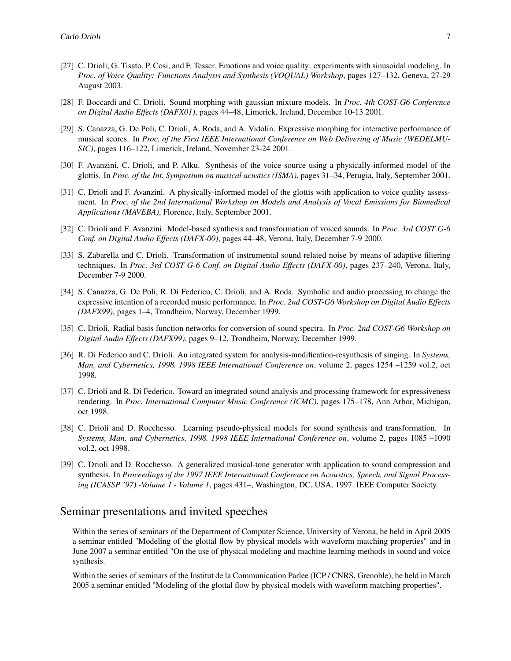- [27] C. Drioli, G. Tisato, P. Cosi, and F. Tesser. Emotions and voice quality: experiments with sinusoidal modeling. In *Proc. of Voice Quality: Functions Analysis and Synthesis (VOQUAL) Workshop*, pages 127–132, Geneva, 27-29 August 2003.
- [28] F. Boccardi and C. Drioli. Sound morphing with gaussian mixture models. In *Proc. 4th COST-G6 Conference on Digital Audio Effects (DAFX01)*, pages 44–48, Limerick, Ireland, December 10-13 2001.
- [29] S. Canazza, G. De Poli, C. Drioli, A. Roda, and A. Vidolin. Expressive morphing for interactive performance of musical scores. In *Proc. of the First IEEE International Conference on Web Delivering of Music (WEDELMU-SIC)*, pages 116–122, Limerick, Ireland, November 23-24 2001.
- [30] F. Avanzini, C. Drioli, and P. Alku. Synthesis of the voice source using a physically-informed model of the glottis. In *Proc. of the Int. Symposium on musical acustics (ISMA)*, pages 31–34, Perugia, Italy, September 2001.
- [31] C. Drioli and F. Avanzini. A physically-informed model of the glottis with application to voice quality assessment. In *Proc. of the 2nd International Workshop on Models and Analysis of Vocal Emissions for Biomedical Applications (MAVEBA)*, Florence, Italy, September 2001.
- [32] C. Drioli and F. Avanzini. Model-based synthesis and transformation of voiced sounds. In *Proc. 3rd COST G-6 Conf. on Digital Audio Effects (DAFX-00)*, pages 44–48, Verona, Italy, December 7-9 2000.
- [33] S. Zabarella and C. Drioli. Transformation of instrumental sound related noise by means of adaptive filtering techniques. In *Proc. 3rd COST G-6 Conf. on Digital Audio Effects (DAFX-00)*, pages 237–240, Verona, Italy, December 7-9 2000.
- [34] S. Canazza, G. De Poli, R. Di Federico, C. Drioli, and A. Roda. Symbolic and audio processing to change the expressive intention of a recorded music performance. In *Proc. 2nd COST-G6 Workshop on Digital Audio Effects (DAFX99)*, pages 1–4, Trondheim, Norway, December 1999.
- [35] C. Drioli. Radial basis function networks for conversion of sound spectra. In *Proc. 2nd COST-G6 Workshop on Digital Audio Effects (DAFX99)*, pages 9–12, Trondheim, Norway, December 1999.
- [36] R. Di Federico and C. Drioli. An integrated system for analysis-modification-resynthesis of singing. In *Systems, Man, and Cybernetics, 1998. 1998 IEEE International Conference on*, volume 2, pages 1254 –1259 vol.2, oct 1998.
- [37] C. Drioli and R. Di Federico. Toward an integrated sound analysis and processing framework for expressiveness rendering. In *Proc. International Computer Music Conference (ICMC)*, pages 175–178, Ann Arbor, Michigan, oct 1998.
- [38] C. Drioli and D. Rocchesso. Learning pseudo-physical models for sound synthesis and transformation. In *Systems, Man, and Cybernetics, 1998. 1998 IEEE International Conference on*, volume 2, pages 1085 –1090 vol.2, oct 1998.
- [39] C. Drioli and D. Rocchesso. A generalized musical-tone generator with application to sound compression and synthesis. In *Proceedings of the 1997 IEEE International Conference on Acoustics, Speech, and Signal Processing (ICASSP '97) -Volume 1 - Volume 1*, pages 431–, Washington, DC, USA, 1997. IEEE Computer Society.

## Seminar presentations and invited speeches

Within the series of seminars of the Department of Computer Science, University of Verona, he held in April 2005 a seminar entitled "Modeling of the glottal flow by physical models with waveform matching properties" and in June 2007 a seminar entitled "On the use of physical modeling and machine learning methods in sound and voice synthesis.

Within the series of seminars of the Institut de la Communication Parlee (ICP / CNRS, Grenoble), he held in March 2005 a seminar entitled "Modeling of the glottal flow by physical models with waveform matching properties".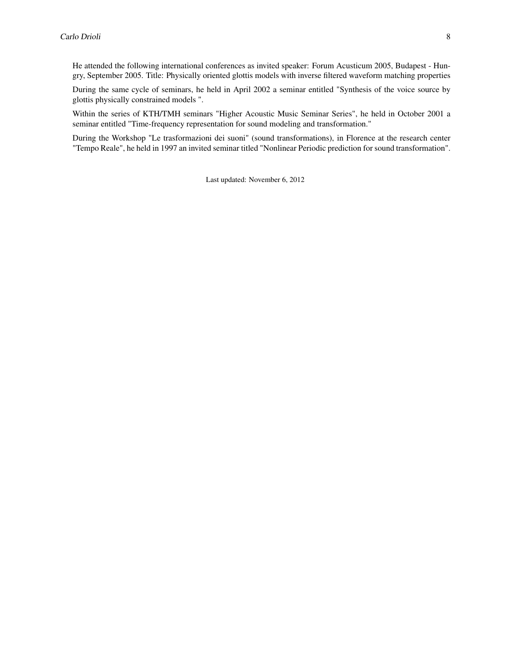He attended the following international conferences as invited speaker: Forum Acusticum 2005, Budapest - Hungry, September 2005. Title: Physically oriented glottis models with inverse filtered waveform matching properties

During the same cycle of seminars, he held in April 2002 a seminar entitled "Synthesis of the voice source by glottis physically constrained models ".

Within the series of KTH/TMH seminars "Higher Acoustic Music Seminar Series", he held in October 2001 a seminar entitled "Time-frequency representation for sound modeling and transformation."

During the Workshop "Le trasformazioni dei suoni" (sound transformations), in Florence at the research center "Tempo Reale", he held in 1997 an invited seminar titled "Nonlinear Periodic prediction for sound transformation".

Last updated: November 6, 2012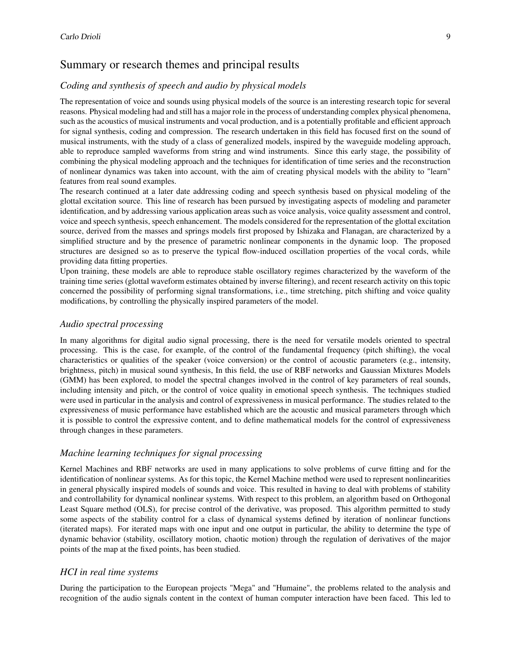## Summary or research themes and principal results

#### *Coding and synthesis of speech and audio by physical models*

The representation of voice and sounds using physical models of the source is an interesting research topic for several reasons. Physical modeling had and still has a major role in the process of understanding complex physical phenomena, such as the acoustics of musical instruments and vocal production, and is a potentially profitable and efficient approach for signal synthesis, coding and compression. The research undertaken in this field has focused first on the sound of musical instruments, with the study of a class of generalized models, inspired by the waveguide modeling approach, able to reproduce sampled waveforms from string and wind instruments. Since this early stage, the possibility of combining the physical modeling approach and the techniques for identification of time series and the reconstruction of nonlinear dynamics was taken into account, with the aim of creating physical models with the ability to "learn" features from real sound examples.

The research continued at a later date addressing coding and speech synthesis based on physical modeling of the glottal excitation source. This line of research has been pursued by investigating aspects of modeling and parameter identification, and by addressing various application areas such as voice analysis, voice quality assessment and control, voice and speech synthesis, speech enhancement. The models considered for the representation of the glottal excitation source, derived from the masses and springs models first proposed by Ishizaka and Flanagan, are characterized by a simplified structure and by the presence of parametric nonlinear components in the dynamic loop. The proposed structures are designed so as to preserve the typical flow-induced oscillation properties of the vocal cords, while providing data fitting properties.

Upon training, these models are able to reproduce stable oscillatory regimes characterized by the waveform of the training time series (glottal waveform estimates obtained by inverse filtering), and recent research activity on this topic concerned the possibility of performing signal transformations, i.e., time stretching, pitch shifting and voice quality modifications, by controlling the physically inspired parameters of the model.

#### *Audio spectral processing*

In many algorithms for digital audio signal processing, there is the need for versatile models oriented to spectral processing. This is the case, for example, of the control of the fundamental frequency (pitch shifting), the vocal characteristics or qualities of the speaker (voice conversion) or the control of acoustic parameters (e.g., intensity, brightness, pitch) in musical sound synthesis, In this field, the use of RBF networks and Gaussian Mixtures Models (GMM) has been explored, to model the spectral changes involved in the control of key parameters of real sounds, including intensity and pitch, or the control of voice quality in emotional speech synthesis. The techniques studied were used in particular in the analysis and control of expressiveness in musical performance. The studies related to the expressiveness of music performance have established which are the acoustic and musical parameters through which it is possible to control the expressive content, and to define mathematical models for the control of expressiveness through changes in these parameters.

#### *Machine learning techniques for signal processing*

Kernel Machines and RBF networks are used in many applications to solve problems of curve fitting and for the identification of nonlinear systems. As for this topic, the Kernel Machine method were used to represent nonlinearities in general physically inspired models of sounds and voice. This resulted in having to deal with problems of stability and controllability for dynamical nonlinear systems. With respect to this problem, an algorithm based on Orthogonal Least Square method (OLS), for precise control of the derivative, was proposed. This algorithm permitted to study some aspects of the stability control for a class of dynamical systems defined by iteration of nonlinear functions (iterated maps). For iterated maps with one input and one output in particular, the ability to determine the type of dynamic behavior (stability, oscillatory motion, chaotic motion) through the regulation of derivatives of the major points of the map at the fixed points, has been studied.

#### *HCI in real time systems*

During the participation to the European projects "Mega" and "Humaine", the problems related to the analysis and recognition of the audio signals content in the context of human computer interaction have been faced. This led to